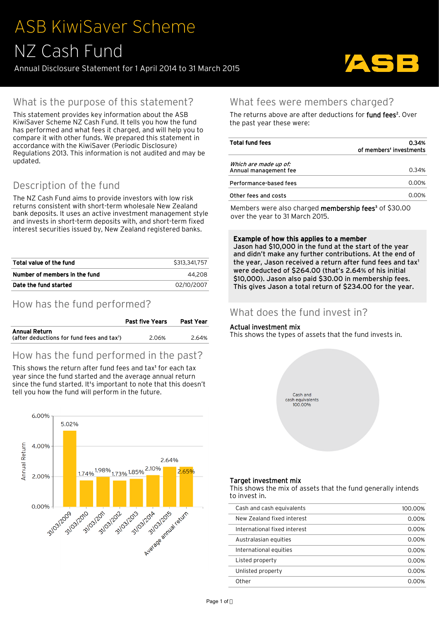# ASB KiwiSaver Scheme NZ Cash Fund

Annual Disclosure Statement for 1 April 2014 to 31 March 2015



## What is the purpose of this statement?

This statement provides key information about the ASB KiwiSaver Scheme NZ Cash Fund. It tells you how the fund has performed and what fees it charged, and will help you to compare it with other funds. We prepared this statement in accordance with the KiwiSaver (Periodic Disclosure) Regulations 2013. This information is not audited and may be updated.

# Description of the fund

The NZ Cash Fund aims to provide investors with low risk returns consistent with short-term wholesale New Zealand bank deposits. It uses an active investment management style and invests in short-term deposits with, and short-term fixed interest securities issued by, New Zealand registered banks.

| Total value of the fund       | \$313,341,757 |
|-------------------------------|---------------|
| Number of members in the fund | 44.208        |
| Date the fund started         | 02/10/2007    |

## How has the fund performed?

|                                                                                | <b>Past five Years</b> | Past Year |  |
|--------------------------------------------------------------------------------|------------------------|-----------|--|
| <b>Annual Return</b><br>(after deductions for fund fees and tax <sup>1</sup> ) | 2.06%                  | 2.64%     |  |
|                                                                                |                        |           |  |

## How has the fund performed in the past?

This shows the return after fund fees and tax<sup>1</sup> for each tax year since the fund started and the average annual return since the fund started. It's important to note that this doesn't tell you how the fund will perform in the future.



### What fees were members charged?

The returns above are after deductions for **fund fees**<sup>2</sup>. Over the past year these were:

| <b>Total fund fees</b> | 0.34%                   |  |  |
|------------------------|-------------------------|--|--|
|                        | of members' investments |  |  |
| Which are made up of:  |                         |  |  |
| Annual management fee  | 0.34%                   |  |  |
| Performance-based fees | 0.00%                   |  |  |
| Other fees and costs   | 0.00%                   |  |  |
|                        |                         |  |  |

Members were also charged **membership fees**<sup>3</sup> of \$30.00 over the year to 31 March 2015.

#### Example of how this applies to a member

Jason had \$10,000 in the fund at the start of the year and didn't make any further contributions. At the end of the year, Jason received a return after fund fees and tax<sup>1</sup> were deducted of \$264.00 (that's 2.64% of his initial \$10,000). Jason also paid \$30.00 in membership fees. This gives Jason a total return of \$234.00 for the year.

### What does the fund invest in?

#### Actual investment mix

This shows the types of assets that the fund invests in.



#### Target investment mix

This shows the mix of assets that the fund generally intends to invest in.

| Cash and cash equivalents    | 100.00% |
|------------------------------|---------|
| New Zealand fixed interest   | 0.00%   |
| International fixed interest | 0.00%   |
| Australasian equities        | 0.00%   |
| International equities       | 0.00%   |
| Listed property              | 0.00%   |
| Unlisted property            | 0.00%   |
| Other                        | በ በበ%   |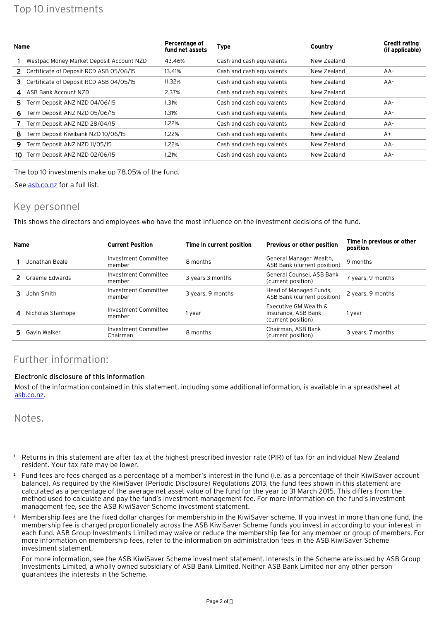| <b>Name</b> |                                          | Percentage of<br>fund net assets | <b>Type</b>               | Country     | <b>Credit rating</b><br>(if applicable) |
|-------------|------------------------------------------|----------------------------------|---------------------------|-------------|-----------------------------------------|
|             | Westpac Money Market Deposit Account NZD | 43.46%                           | Cash and cash equivalents | New Zealand |                                         |
|             | Certificate of Deposit RCD ASB 05/06/15  | 13.41%                           | Cash and cash equivalents | New Zealand | $AA-$                                   |
| 3.          | Certificate of Deposit RCD ASB 04/05/15  | 11.32%                           | Cash and cash equivalents | New Zealand | $AA-$                                   |
| 4           | ASB Bank Account NZD                     | 2.37%                            | Cash and cash equivalents | New Zealand |                                         |
| 5.          | Term Deposit ANZ NZD 04/06/15            | 1.31%                            | Cash and cash equivalents | New Zealand | $AA-$                                   |
| 6.          | Term Deposit ANZ NZD 05/06/15            | 1.31%                            | Cash and cash equivalents | New Zealand | $AA-$                                   |
|             | Term Deposit ANZ NZD 28/04/15            | 1.22%                            | Cash and cash equivalents | New Zealand | $AA-$                                   |
| 8           | Term Deposit Kiwibank NZD 10/06/15       | 1.22%                            | Cash and cash equivalents | New Zealand | $A+$                                    |
| 9           | Term Deposit ANZ NZD 11/05/15            | 1.22%                            | Cash and cash equivalents | New Zealand | $AA-$                                   |
| 10          | Term Deposit ANZ NZD 02/06/15            | 1.21%                            | Cash and cash equivalents | New Zealand | $AA-$                                   |

The top 10 investments make up 78.05% of the fund.

See [asb.co.nz](https://www.asb.co.nz/kiwisaver/downloads/periodic-disclosure/2015/NZ_Cash_Fund/NZ_Cash_Fund_Annual_Disclosure.csv) for a full list.

#### Key personnel

This shows the directors and employees who have the most influence on the investment decisions of the fund.

| Name |                   | <b>Current Position</b>          | Time in current position | Previous or other position                                         | Time in previous or other<br>position |
|------|-------------------|----------------------------------|--------------------------|--------------------------------------------------------------------|---------------------------------------|
|      | Jonathan Beale    | Investment Committee<br>member   | 8 months                 | General Manager Wealth,<br>ASB Bank (current position)             | 9 months                              |
|      | Graeme Edwards    | Investment Committee<br>member   | 3 years 3 months         | General Counsel, ASB Bank<br>(current position)                    | 7 years, 9 months                     |
|      | John Smith        | Investment Committee<br>member   | 3 years, 9 months        | Head of Managed Funds,<br>ASB Bank (current position)              | 2 years, 9 months                     |
| 4    | Nicholas Stanhope | Investment Committee<br>member   | 1 year                   | Executive GM Wealth &<br>Insurance, ASB Bank<br>(current position) | 1 year                                |
|      | 5 Gavin Walker    | Investment Committee<br>Chairman | 8 months                 | Chairman, ASB Bank<br>(current position)                           | 3 years, 7 months                     |

## Further information:

#### Electronic disclosure of this information

Most of the information contained in this statement, including some additional information, is available in a spreadsheet at [asb.co.nz](https://www.asb.co.nz/kiwisaver/downloads/periodic-disclosure/2015/NZ_Cash_Fund/NZ_Cash_Fund_Annual_Disclosure.csv).

Notes.

- <sup>1</sup> Returns in this statement are after tax at the highest prescribed investor rate (PIR) of tax for an individual New Zealand resident. Your tax rate may be lower.
- ² Fund fees are fees charged as a percentage of a member's interest in the fund (i.e. as a percentage of their KiwiSaver account balance). As required by the KiwiSaver (Periodic Disclosure) Regulations 2013, the fund fees shown in this statement are calculated as a percentage of the average net asset value of the fund for the year to 31 March 2015. This differs from the method used to calculate and pay the fund's investment management fee. For more information on the fund's investment management fee, see the ASB KiwiSaver Scheme investment statement.
- ³ Membership fees are the fixed dollar charges for membership in the KiwiSaver scheme. If you invest in more than one fund, the membership fee is charged proportionately across the ASB KiwiSaver Scheme funds you invest in according to your interest in each fund. ASB Group Investments Limited may waive or reduce the membership fee for any member or group of members. For more information on membership fees, refer to the information on administration fees in the ASB KiwiSaver Scheme investment statement.

For more information, see the ASB KiwiSaver Scheme investment statement. Interests in the Scheme are issued by ASB Group Investments Limited, a wholly owned subsidiary of ASB Bank Limited. Neither ASB Bank Limited nor any other person guarantees the interests in the Scheme.